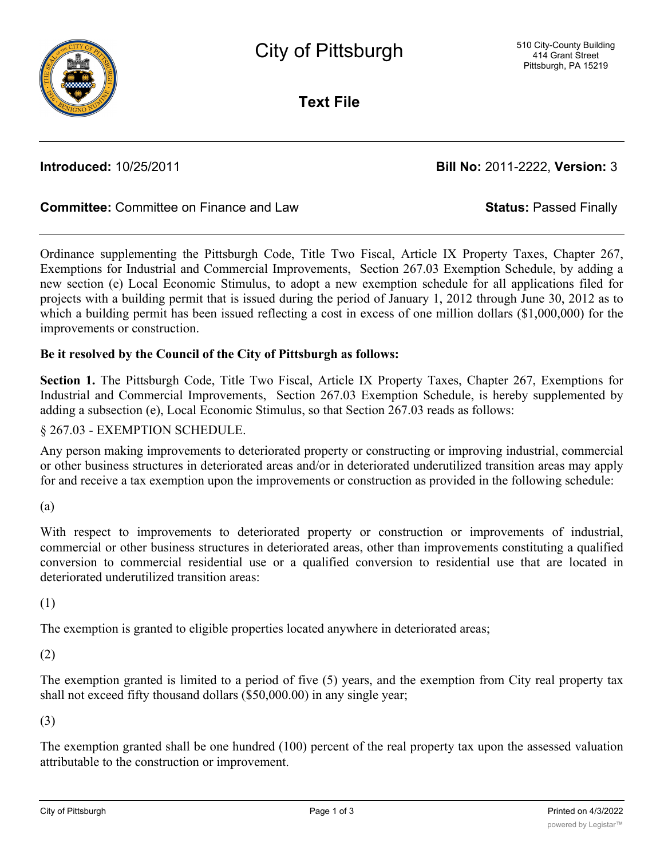

**Text File**

**Introduced:** 10/25/2011 **Bill No:** 2011-2222, **Version:** 3

# **Committee:** Committee on Finance and Law **Status:** Passed Finally

Ordinance supplementing the Pittsburgh Code, Title Two Fiscal, Article IX Property Taxes, Chapter 267, Exemptions for Industrial and Commercial Improvements, Section 267.03 Exemption Schedule, by adding a new section (e) Local Economic Stimulus, to adopt a new exemption schedule for all applications filed for projects with a building permit that is issued during the period of January 1, 2012 through June 30, 2012 as to which a building permit has been issued reflecting a cost in excess of one million dollars (\$1,000,000) for the improvements or construction.

## **Be it resolved by the Council of the City of Pittsburgh as follows:**

**Section 1.** The Pittsburgh Code, Title Two Fiscal, Article IX Property Taxes, Chapter 267, Exemptions for Industrial and Commercial Improvements, Section 267.03 Exemption Schedule, is hereby supplemented by adding a subsection (e), Local Economic Stimulus, so that Section 267.03 reads as follows:

### § 267.03 - EXEMPTION SCHEDULE.

Any person making improvements to deteriorated property or constructing or improving industrial, commercial or other business structures in deteriorated areas and/or in deteriorated underutilized transition areas may apply for and receive a tax exemption upon the improvements or construction as provided in the following schedule:

(a)

With respect to improvements to deteriorated property or construction or improvements of industrial, commercial or other business structures in deteriorated areas, other than improvements constituting a qualified conversion to commercial residential use or a qualified conversion to residential use that are located in deteriorated underutilized transition areas:

(1)

The exemption is granted to eligible properties located anywhere in deteriorated areas;

## (2)

The exemption granted is limited to a period of five (5) years, and the exemption from City real property tax shall not exceed fifty thousand dollars (\$50,000.00) in any single year;

## (3)

The exemption granted shall be one hundred (100) percent of the real property tax upon the assessed valuation attributable to the construction or improvement.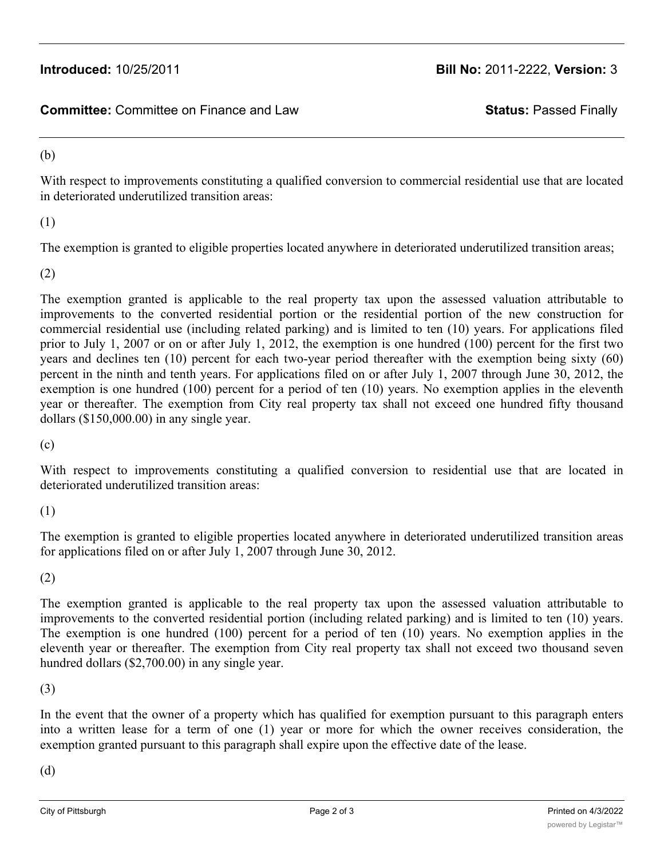**Committee:** Committee on Finance and Law **Status:** Passed Finally

### (b)

With respect to improvements constituting a qualified conversion to commercial residential use that are located in deteriorated underutilized transition areas:

(1)

The exemption is granted to eligible properties located anywhere in deteriorated underutilized transition areas;

(2)

The exemption granted is applicable to the real property tax upon the assessed valuation attributable to improvements to the converted residential portion or the residential portion of the new construction for commercial residential use (including related parking) and is limited to ten (10) years. For applications filed prior to July 1, 2007 or on or after July 1, 2012, the exemption is one hundred (100) percent for the first two years and declines ten (10) percent for each two-year period thereafter with the exemption being sixty (60) percent in the ninth and tenth years. For applications filed on or after July 1, 2007 through June 30, 2012, the exemption is one hundred (100) percent for a period of ten (10) years. No exemption applies in the eleventh year or thereafter. The exemption from City real property tax shall not exceed one hundred fifty thousand dollars (\$150,000.00) in any single year.

(c)

With respect to improvements constituting a qualified conversion to residential use that are located in deteriorated underutilized transition areas:

(1)

The exemption is granted to eligible properties located anywhere in deteriorated underutilized transition areas for applications filed on or after July 1, 2007 through June 30, 2012.

(2)

The exemption granted is applicable to the real property tax upon the assessed valuation attributable to improvements to the converted residential portion (including related parking) and is limited to ten (10) years. The exemption is one hundred (100) percent for a period of ten (10) years. No exemption applies in the eleventh year or thereafter. The exemption from City real property tax shall not exceed two thousand seven hundred dollars (\$2,700.00) in any single year.

(3)

In the event that the owner of a property which has qualified for exemption pursuant to this paragraph enters into a written lease for a term of one (1) year or more for which the owner receives consideration, the exemption granted pursuant to this paragraph shall expire upon the effective date of the lease.

(d)